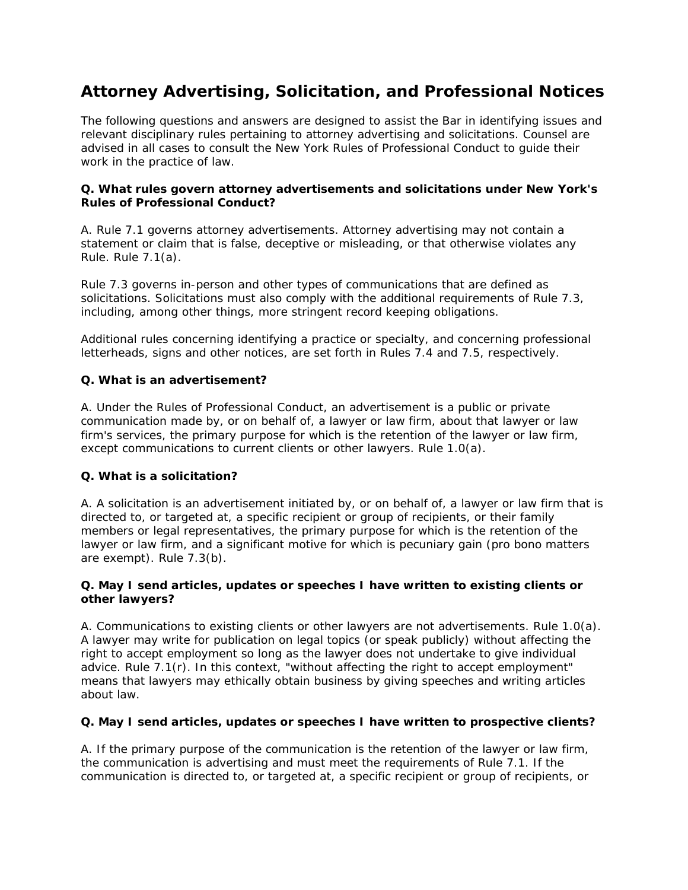# **Attorney Advertising, Solicitation, and Professional Notices**

The following questions and answers are designed to assist the Bar in identifying issues and relevant disciplinary rules pertaining to attorney advertising and solicitations. Counsel are advised in all cases to consult the New York Rules of Professional Conduct to guide their work in the practice of law.

## **Q. What rules govern attorney advertisements and solicitations under New York's Rules of Professional Conduct?**

A. Rule 7.1 governs attorney advertisements. Attorney advertising may not contain a statement or claim that is false, deceptive or misleading, or that otherwise violates any Rule. Rule 7.1(a).

Rule 7.3 governs in-person and other types of communications that are defined as solicitations. Solicitations must also comply with the additional requirements of Rule 7.3, including, among other things, more stringent record keeping obligations.

Additional rules concerning identifying a practice or specialty, and concerning professional letterheads, signs and other notices, are set forth in Rules 7.4 and 7.5, respectively.

### **Q. What is an advertisement?**

A. Under the Rules of Professional Conduct, an advertisement is a public or private communication made by, or on behalf of, a lawyer or law firm, about that lawyer or law firm's services, the primary purpose for which is the retention of the lawyer or law firm, except communications to current clients or other lawyers. Rule 1.0(a).

### **Q. What is a solicitation?**

A. A solicitation is an advertisement initiated by, or on behalf of, a lawyer or law firm that is directed to, or targeted at, a specific recipient or group of recipients, or their family members or legal representatives, the primary purpose for which is the retention of the lawyer or law firm, and a significant motive for which is pecuniary gain (pro bono matters are exempt). Rule 7.3(b).

#### **Q. May I send articles, updates or speeches I have written to existing clients or other lawyers?**

A. Communications to existing clients or other lawyers are not advertisements. Rule 1.0(a). A lawyer may write for publication on legal topics (or speak publicly) without affecting the right to accept employment so long as the lawyer does not undertake to give individual advice. Rule 7.1(r). In this context, "without affecting the right to accept employment" means that lawyers may ethically obtain business by giving speeches and writing articles about law.

### **Q. May I send articles, updates or speeches I have written to prospective clients?**

A. If the primary purpose of the communication is the retention of the lawyer or law firm, the communication is advertising and must meet the requirements of Rule 7.1. If the communication is directed to, or targeted at, a specific recipient or group of recipients, or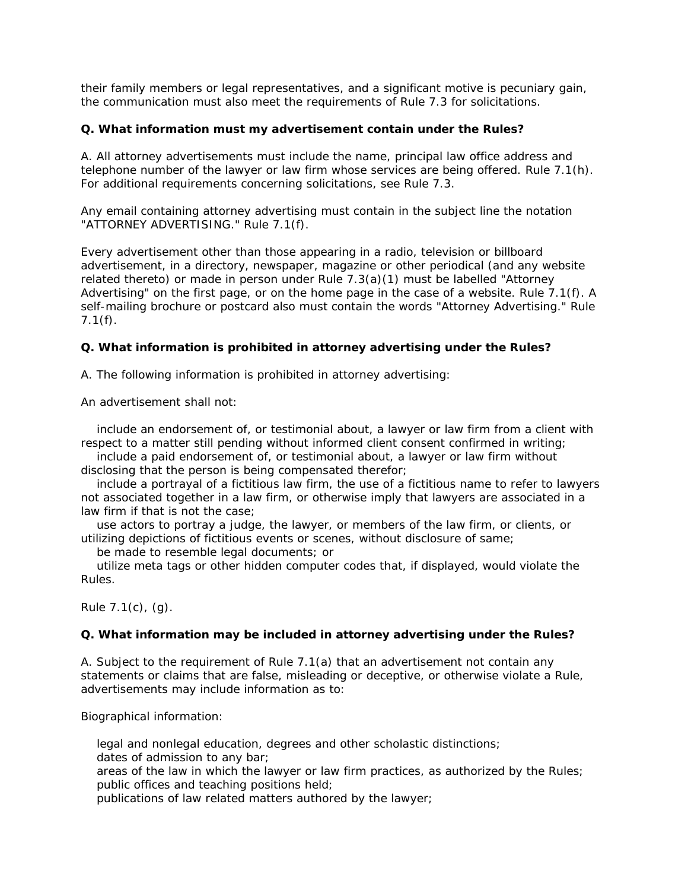their family members or legal representatives, and a significant motive is pecuniary gain, the communication must also meet the requirements of Rule 7.3 for solicitations.

### **Q. What information must my advertisement contain under the Rules?**

A. All attorney advertisements must include the name, principal law office address and telephone number of the lawyer or law firm whose services are being offered. Rule 7.1(h). For additional requirements concerning solicitations, see Rule 7.3.

Any email containing attorney advertising must contain in the subject line the notation "ATTORNEY ADVERTISING." Rule 7.1(f).

Every advertisement other than those appearing in a radio, television or billboard advertisement, in a directory, newspaper, magazine or other periodical (and any website related thereto) or made in person under Rule 7.3(a)(1) must be labelled "Attorney Advertising" on the first page, or on the home page in the case of a website. Rule 7.1(f). A self-mailing brochure or postcard also must contain the words "Attorney Advertising." Rule 7.1(f).

### **Q. What information is prohibited in attorney advertising under the Rules?**

A. The following information is prohibited in attorney advertising:

An advertisement shall not:

 include an endorsement of, or testimonial about, a lawyer or law firm from a client with respect to a matter still pending without informed client consent confirmed in writing;

 include a paid endorsement of, or testimonial about, a lawyer or law firm without disclosing that the person is being compensated therefor;

 include a portrayal of a fictitious law firm, the use of a fictitious name to refer to lawyers not associated together in a law firm, or otherwise imply that lawyers are associated in a law firm if that is not the case;

 use actors to portray a judge, the lawyer, or members of the law firm, or clients, or utilizing depictions of fictitious events or scenes, without disclosure of same;

be made to resemble legal documents; or

 utilize meta tags or other hidden computer codes that, if displayed, would violate the Rules.

Rule 7.1(c), (g).

### **Q. What information may be included in attorney advertising under the Rules?**

A. Subject to the requirement of Rule 7.1(a) that an advertisement not contain any statements or claims that are false, misleading or deceptive, or otherwise violate a Rule, advertisements may include information as to:

Biographical information:

 legal and nonlegal education, degrees and other scholastic distinctions; dates of admission to any bar;

 areas of the law in which the lawyer or law firm practices, as authorized by the Rules; public offices and teaching positions held;

publications of law related matters authored by the lawyer;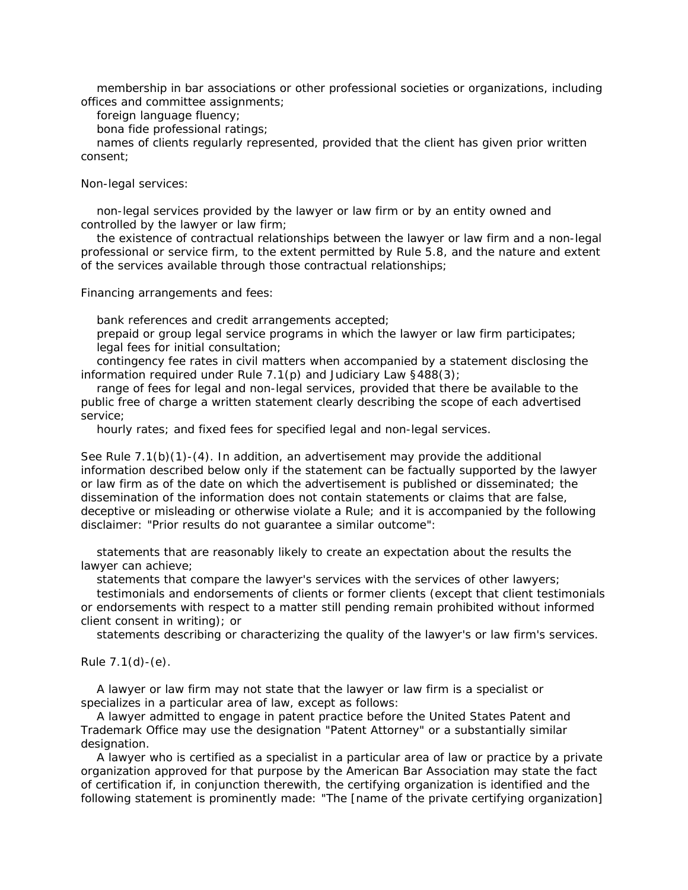membership in bar associations or other professional societies or organizations, including offices and committee assignments;

foreign language fluency;

bona fide professional ratings;

 names of clients regularly represented, provided that the client has given prior written consent;

Non-legal services:

 non-legal services provided by the lawyer or law firm or by an entity owned and controlled by the lawyer or law firm;

 the existence of contractual relationships between the lawyer or law firm and a non-legal professional or service firm, to the extent permitted by Rule 5.8, and the nature and extent of the services available through those contractual relationships;

Financing arrangements and fees:

bank references and credit arrangements accepted;

 prepaid or group legal service programs in which the lawyer or law firm participates; legal fees for initial consultation;

 contingency fee rates in civil matters when accompanied by a statement disclosing the information required under Rule 7.1(p) and Judiciary Law §488(3);

 range of fees for legal and non-legal services, provided that there be available to the public free of charge a written statement clearly describing the scope of each advertised service;

hourly rates; and fixed fees for specified legal and non-legal services.

See Rule 7.1(b)(1)-(4). In addition, an advertisement may provide the additional information described below only if the statement can be factually supported by the lawyer or law firm as of the date on which the advertisement is published or disseminated; the dissemination of the information does not contain statements or claims that are false, deceptive or misleading or otherwise violate a Rule; and it is accompanied by the following disclaimer: "Prior results do not guarantee a similar outcome":

 statements that are reasonably likely to create an expectation about the results the lawyer can achieve;

statements that compare the lawyer's services with the services of other lawyers;

 testimonials and endorsements of clients or former clients (except that client testimonials or endorsements with respect to a matter still pending remain prohibited without informed client consent in writing); or

statements describing or characterizing the quality of the lawyer's or law firm's services.

Rule 7.1(d)-(e).

 A lawyer or law firm may not state that the lawyer or law firm is a specialist or specializes in a particular area of law, except as follows:

 A lawyer admitted to engage in patent practice before the United States Patent and Trademark Office may use the designation "Patent Attorney" or a substantially similar designation.

 A lawyer who is certified as a specialist in a particular area of law or practice by a private organization approved for that purpose by the American Bar Association may state the fact of certification if, in conjunction therewith, the certifying organization is identified and the following statement is prominently made: "The [name of the private certifying organization]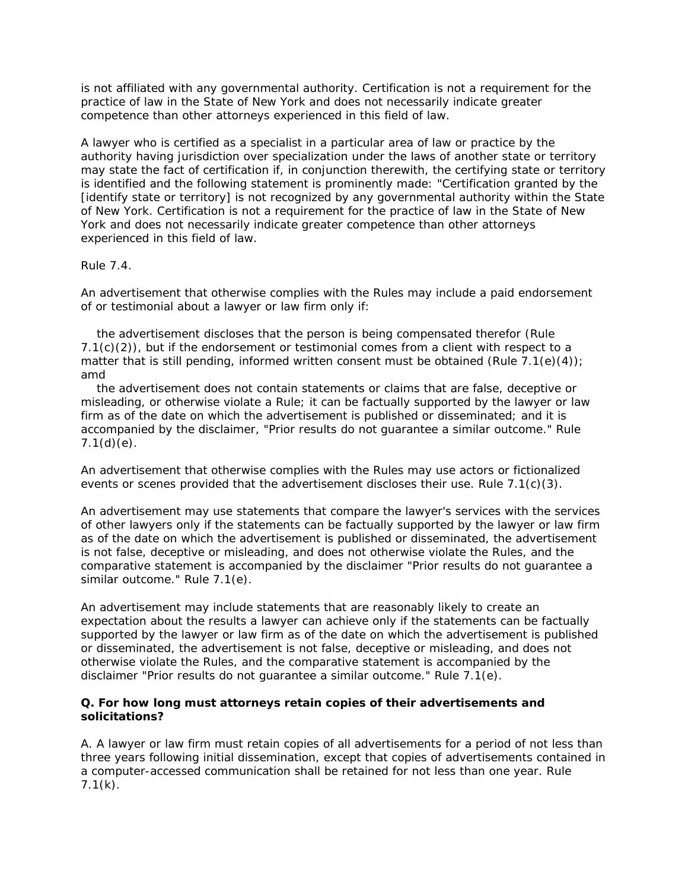is not affiliated with any governmental authority. Certification is not a requirement for the practice of law in the State of New York and does not necessarily indicate greater competence than other attorneys experienced in this field of law.

A lawyer who is certified as a specialist in a particular area of law or practice by the authority having jurisdiction over specialization under the laws of another state or territory may state the fact of certification if, in conjunction therewith, the certifying state or territory is identified and the following statement is prominently made: "Certification granted by the [identify state or territory] is not recognized by any governmental authority within the State of New York. Certification is not a requirement for the practice of law in the State of New York and does not necessarily indicate greater competence than other attorneys experienced in this field of law.

### Rule 7.4.

An advertisement that otherwise complies with the Rules may include a paid endorsement of or testimonial about a lawyer or law firm only if:

 the advertisement discloses that the person is being compensated therefor (Rule  $7.1(c)(2)$ ), but if the endorsement or testimonial comes from a client with respect to a matter that is still pending, informed written consent must be obtained (Rule  $7.1(e)(4)$ ); amd

 the advertisement does not contain statements or claims that are false, deceptive or misleading, or otherwise violate a Rule; it can be factually supported by the lawyer or law firm as of the date on which the advertisement is published or disseminated; and it is accompanied by the disclaimer, "Prior results do not guarantee a similar outcome." Rule  $7.1(d)(e)$ .

An advertisement that otherwise complies with the Rules may use actors or fictionalized events or scenes provided that the advertisement discloses their use. Rule 7.1(c)(3).

An advertisement may use statements that compare the lawyer's services with the services of other lawyers only if the statements can be factually supported by the lawyer or law firm as of the date on which the advertisement is published or disseminated, the advertisement is not false, deceptive or misleading, and does not otherwise violate the Rules, and the comparative statement is accompanied by the disclaimer "Prior results do not guarantee a similar outcome." Rule 7.1(e).

An advertisement may include statements that are reasonably likely to create an expectation about the results a lawyer can achieve only if the statements can be factually supported by the lawyer or law firm as of the date on which the advertisement is published or disseminated, the advertisement is not false, deceptive or misleading, and does not otherwise violate the Rules, and the comparative statement is accompanied by the disclaimer "Prior results do not guarantee a similar outcome." Rule 7.1(e).

#### **Q. For how long must attorneys retain copies of their advertisements and solicitations?**

A. A lawyer or law firm must retain copies of all advertisements for a period of not less than three years following initial dissemination, except that copies of advertisements contained in a computer-accessed communication shall be retained for not less than one year. Rule  $7.1(k)$ .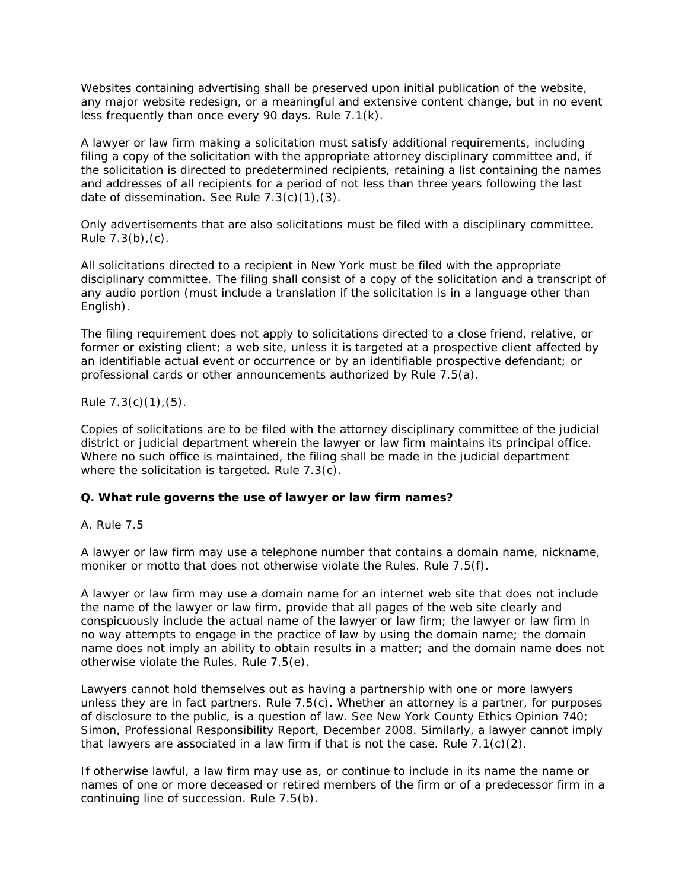Websites containing advertising shall be preserved upon initial publication of the website, any major website redesign, or a meaningful and extensive content change, but in no event less frequently than once every 90 days. Rule 7.1(k).

A lawyer or law firm making a solicitation must satisfy additional requirements, including filing a copy of the solicitation with the appropriate attorney disciplinary committee and, if the solicitation is directed to predetermined recipients, retaining a list containing the names and addresses of all recipients for a period of not less than three years following the last date of dissemination. See Rule 7.3(c)(1),(3).

Only advertisements that are also solicitations must be filed with a disciplinary committee. Rule  $7.3(b)$ , (c).

All solicitations directed to a recipient in New York must be filed with the appropriate disciplinary committee. The filing shall consist of a copy of the solicitation and a transcript of any audio portion (must include a translation if the solicitation is in a language other than English).

The filing requirement does not apply to solicitations directed to a close friend, relative, or former or existing client; a web site, unless it is targeted at a prospective client affected by an identifiable actual event or occurrence or by an identifiable prospective defendant; or professional cards or other announcements authorized by Rule 7.5(a).

Rule  $7.3(c)(1)$ ,  $(5)$ .

Copies of solicitations are to be filed with the attorney disciplinary committee of the judicial district or judicial department wherein the lawyer or law firm maintains its principal office. Where no such office is maintained, the filing shall be made in the judicial department where the solicitation is targeted. Rule 7.3(c).

### **Q. What rule governs the use of lawyer or law firm names?**

#### A. Rule 7.5

A lawyer or law firm may use a telephone number that contains a domain name, nickname, moniker or motto that does not otherwise violate the Rules. Rule 7.5(f).

A lawyer or law firm may use a domain name for an internet web site that does not include the name of the lawyer or law firm, provide that all pages of the web site clearly and conspicuously include the actual name of the lawyer or law firm; the lawyer or law firm in no way attempts to engage in the practice of law by using the domain name; the domain name does not imply an ability to obtain results in a matter; and the domain name does not otherwise violate the Rules. Rule 7.5(e).

Lawyers cannot hold themselves out as having a partnership with one or more lawyers unless they are in fact partners. Rule 7.5(c). Whether an attorney is a partner, for purposes of disclosure to the public, is a question of law. See New York County Ethics Opinion 740; Simon, Professional Responsibility Report, December 2008. Similarly, a lawyer cannot imply that lawyers are associated in a law firm if that is not the case. Rule  $7.1(c)(2)$ .

If otherwise lawful, a law firm may use as, or continue to include in its name the name or names of one or more deceased or retired members of the firm or of a predecessor firm in a continuing line of succession. Rule 7.5(b).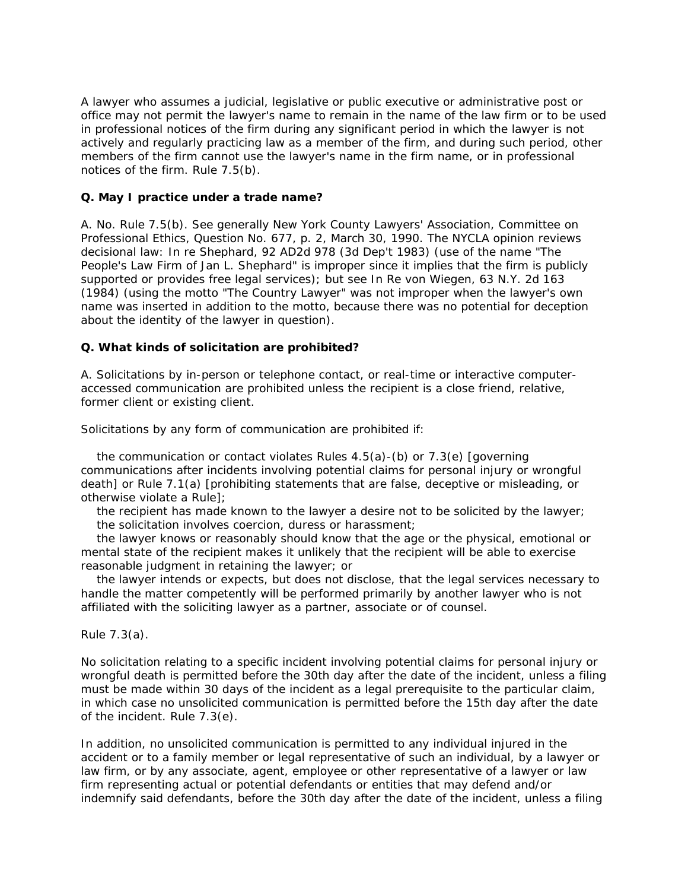A lawyer who assumes a judicial, legislative or public executive or administrative post or office may not permit the lawyer's name to remain in the name of the law firm or to be used in professional notices of the firm during any significant period in which the lawyer is not actively and regularly practicing law as a member of the firm, and during such period, other members of the firm cannot use the lawyer's name in the firm name, or in professional notices of the firm. Rule 7.5(b).

## **Q. May I practice under a trade name?**

A. No. Rule 7.5(b). See generally New York County Lawyers' Association, Committee on Professional Ethics, Question No. 677, p. 2, March 30, 1990. The NYCLA opinion reviews decisional law: In re Shephard, 92 AD2d 978 (3d Dep't 1983) (use of the name "The People's Law Firm of Jan L. Shephard" is improper since it implies that the firm is publicly supported or provides free legal services); but see In Re von Wiegen, 63 N.Y. 2d 163 (1984) (using the motto "The Country Lawyer" was not improper when the lawyer's own name was inserted in addition to the motto, because there was no potential for deception about the identity of the lawyer in question).

# **Q. What kinds of solicitation are prohibited?**

A. Solicitations by in-person or telephone contact, or real-time or interactive computeraccessed communication are prohibited unless the recipient is a close friend, relative, former client or existing client.

Solicitations by any form of communication are prohibited if:

 the communication or contact violates Rules 4.5(a)-(b) or 7.3(e) [governing communications after incidents involving potential claims for personal injury or wrongful death] or Rule 7.1(a) [prohibiting statements that are false, deceptive or misleading, or otherwise violate a Rule];

 the recipient has made known to the lawyer a desire not to be solicited by the lawyer; the solicitation involves coercion, duress or harassment;

 the lawyer knows or reasonably should know that the age or the physical, emotional or mental state of the recipient makes it unlikely that the recipient will be able to exercise reasonable judgment in retaining the lawyer; or

 the lawyer intends or expects, but does not disclose, that the legal services necessary to handle the matter competently will be performed primarily by another lawyer who is not affiliated with the soliciting lawyer as a partner, associate or of counsel.

Rule 7.3(a).

No solicitation relating to a specific incident involving potential claims for personal injury or wrongful death is permitted before the 30th day after the date of the incident, unless a filing must be made within 30 days of the incident as a legal prerequisite to the particular claim, in which case no unsolicited communication is permitted before the 15th day after the date of the incident. Rule 7.3(e).

In addition, no unsolicited communication is permitted to any individual injured in the accident or to a family member or legal representative of such an individual, by a lawyer or law firm, or by any associate, agent, employee or other representative of a lawyer or law firm representing actual or potential defendants or entities that may defend and/or indemnify said defendants, before the 30th day after the date of the incident, unless a filing